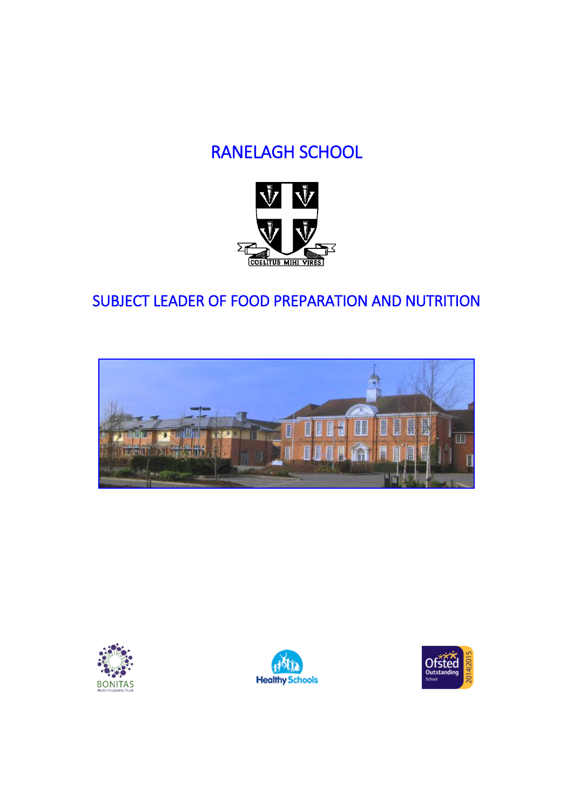# RANELAGH SCHOOL



# SUBJECT LEADER OF FOOD PREPARATION AND NUTRITION







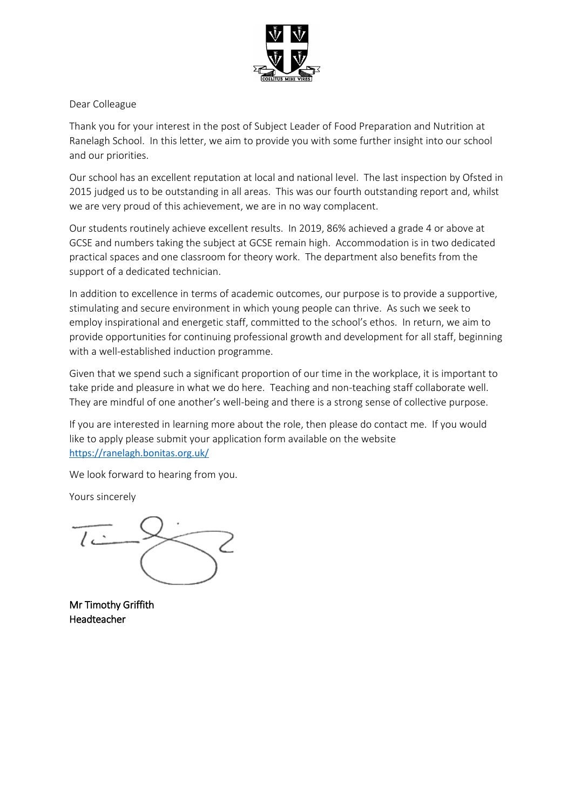

Dear Colleague

Thank you for your interest in the post of Subject Leader of Food Preparation and Nutrition at Ranelagh School. In this letter, we aim to provide you with some further insight into our school and our priorities.

Our school has an excellent reputation at local and national level. The last inspection by Ofsted in 2015 judged us to be outstanding in all areas. This was our fourth outstanding report and, whilst we are very proud of this achievement, we are in no way complacent.

Our students routinely achieve excellent results. In 2019, 86% achieved a grade 4 or above at GCSE and numbers taking the subject at GCSE remain high. Accommodation is in two dedicated practical spaces and one classroom for theory work. The department also benefits from the support of a dedicated technician.

In addition to excellence in terms of academic outcomes, our purpose is to provide a supportive, stimulating and secure environment in which young people can thrive. As such we seek to employ inspirational and energetic staff, committed to the school's ethos. In return, we aim to provide opportunities for continuing professional growth and development for all staff, beginning with a well-established induction programme.

Given that we spend such a significant proportion of our time in the workplace, it is important to take pride and pleasure in what we do here. Teaching and non-teaching staff collaborate well. They are mindful of one another's well-being and there is a strong sense of collective purpose.

If you are interested in learning more about the role, then please do contact me. If you would like to apply please submit your application form available on the website <https://ranelagh.bonitas.org.uk/>

We look forward to hearing from you.

Yours sincerely

Mr Timothy Griffith Headteacher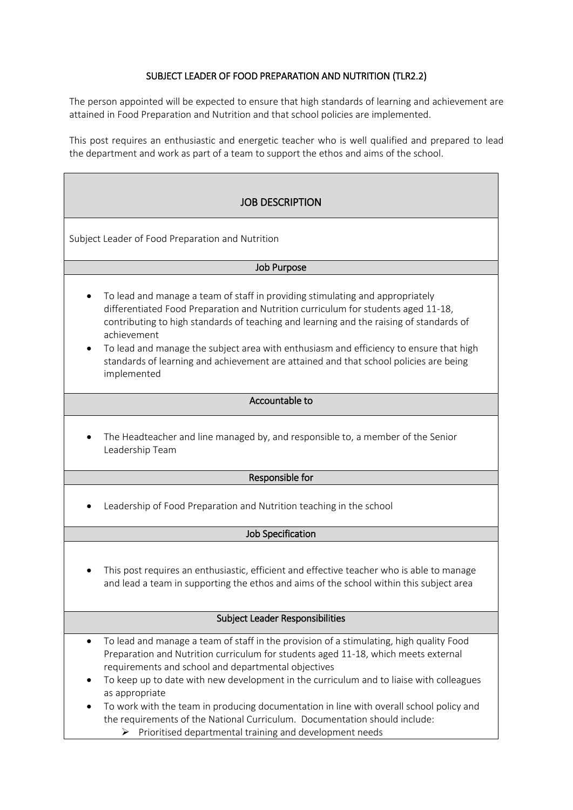# SUBJECT LEADER OF FOOD PREPARATION AND NUTRITION (TLR2.2)

The person appointed will be expected to ensure that high standards of learning and achievement are attained in Food Preparation and Nutrition and that school policies are implemented.

This post requires an enthusiastic and energetic teacher who is well qualified and prepared to lead the department and work as part of a team to support the ethos and aims of the school.

# JOB DESCRIPTION

Subject Leader of Food Preparation and Nutrition

#### Job Purpose

- To lead and manage a team of staff in providing stimulating and appropriately differentiated Food Preparation and Nutrition curriculum for students aged 11-18, contributing to high standards of teaching and learning and the raising of standards of achievement
- To lead and manage the subject area with enthusiasm and efficiency to ensure that high standards of learning and achievement are attained and that school policies are being implemented

#### Accountable to

• The Headteacher and line managed by, and responsible to, a member of the Senior Leadership Team

#### Responsible for

• Leadership of Food Preparation and Nutrition teaching in the school

#### Job Specification

This post requires an enthusiastic, efficient and effective teacher who is able to manage and lead a team in supporting the ethos and aims of the school within this subject area

#### Subject Leader Responsibilities

- To lead and manage a team of staff in the provision of a stimulating, high quality Food Preparation and Nutrition curriculum for students aged 11-18, which meets external requirements and school and departmental objectives
- To keep up to date with new development in the curriculum and to liaise with colleagues as appropriate
- To work with the team in producing documentation in line with overall school policy and the requirements of the National Curriculum. Documentation should include:
	- $\triangleright$  Prioritised departmental training and development needs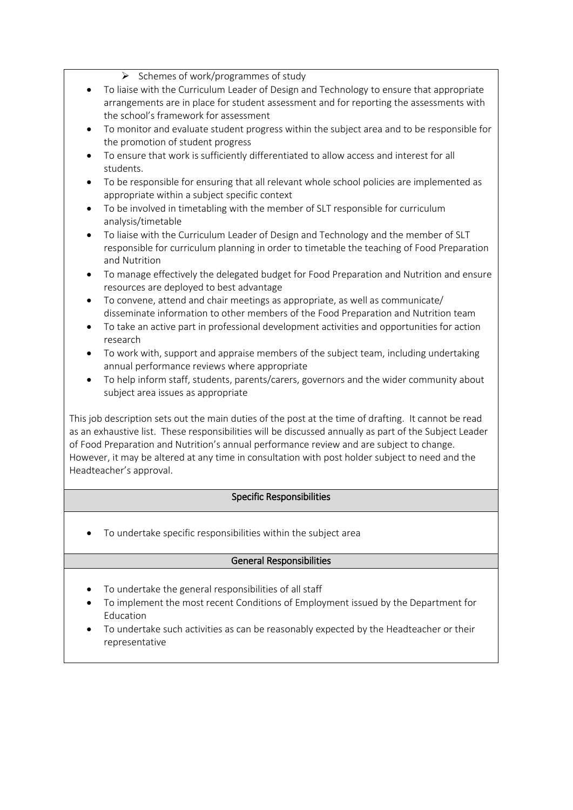➢ Schemes of work/programmes of study

- To liaise with the Curriculum Leader of Design and Technology to ensure that appropriate arrangements are in place for student assessment and for reporting the assessments with the school's framework for assessment
- To monitor and evaluate student progress within the subject area and to be responsible for the promotion of student progress
- To ensure that work is sufficiently differentiated to allow access and interest for all students.
- To be responsible for ensuring that all relevant whole school policies are implemented as appropriate within a subject specific context
- To be involved in timetabling with the member of SLT responsible for curriculum analysis/timetable
- To liaise with the Curriculum Leader of Design and Technology and the member of SLT responsible for curriculum planning in order to timetable the teaching of Food Preparation and Nutrition
- To manage effectively the delegated budget for Food Preparation and Nutrition and ensure resources are deployed to best advantage
- To convene, attend and chair meetings as appropriate, as well as communicate/ disseminate information to other members of the Food Preparation and Nutrition team
- To take an active part in professional development activities and opportunities for action research
- To work with, support and appraise members of the subject team, including undertaking annual performance reviews where appropriate
- To help inform staff, students, parents/carers, governors and the wider community about subject area issues as appropriate

This job description sets out the main duties of the post at the time of drafting. It cannot be read as an exhaustive list. These responsibilities will be discussed annually as part of the Subject Leader of Food Preparation and Nutrition's annual performance review and are subject to change. However, it may be altered at any time in consultation with post holder subject to need and the Headteacher's approval.

# Specific Responsibilities

• To undertake specific responsibilities within the subject area

# General Responsibilities

- To undertake the general responsibilities of all staff
- To implement the most recent Conditions of Employment issued by the Department for Education
- To undertake such activities as can be reasonably expected by the Headteacher or their representative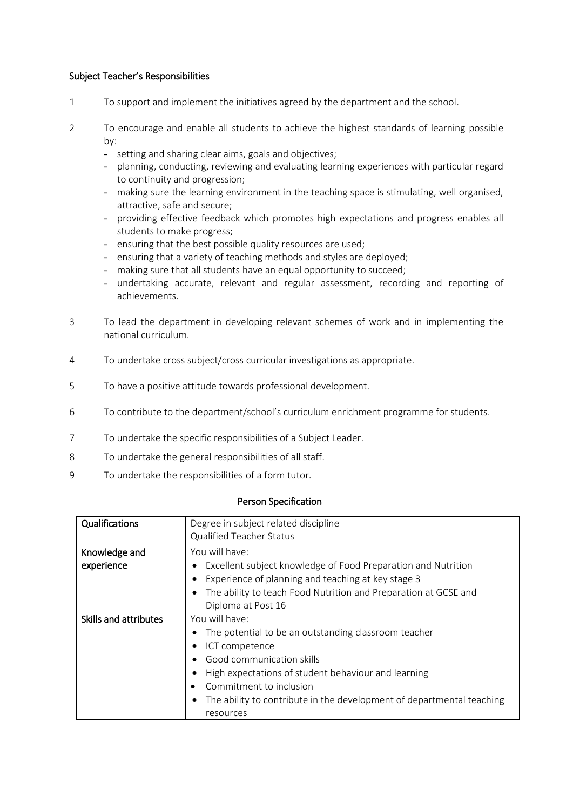#### Subject Teacher's Responsibilities

- 1 To support and implement the initiatives agreed by the department and the school.
- 2 To encourage and enable all students to achieve the highest standards of learning possible by:
	- setting and sharing clear aims, goals and objectives;
	- planning, conducting, reviewing and evaluating learning experiences with particular regard to continuity and progression;
	- making sure the learning environment in the teaching space is stimulating, well organised, attractive, safe and secure;
	- providing effective feedback which promotes high expectations and progress enables all students to make progress;
	- ensuring that the best possible quality resources are used;
	- ensuring that a variety of teaching methods and styles are deployed;
	- making sure that all students have an equal opportunity to succeed;
	- undertaking accurate, relevant and regular assessment, recording and reporting of achievements.
- 3 To lead the department in developing relevant schemes of work and in implementing the national curriculum.
- 4 To undertake cross subject/cross curricular investigations as appropriate.
- 5 To have a positive attitude towards professional development.
- 6 To contribute to the department/school's curriculum enrichment programme for students.
- 7 To undertake the specific responsibilities of a Subject Leader.
- 8 To undertake the general responsibilities of all staff.
- 9 To undertake the responsibilities of a form tutor.

#### Person Specification

| Qualifications              | Degree in subject related discipline<br><b>Qualified Teacher Status</b>                                                                                                                                                                                                                       |
|-----------------------------|-----------------------------------------------------------------------------------------------------------------------------------------------------------------------------------------------------------------------------------------------------------------------------------------------|
| Knowledge and<br>experience | You will have:<br>Excellent subject knowledge of Food Preparation and Nutrition<br>Experience of planning and teaching at key stage 3<br>The ability to teach Food Nutrition and Preparation at GCSE and<br>Diploma at Post 16                                                                |
| Skills and attributes       | You will have:<br>The potential to be an outstanding classroom teacher<br>ICT competence<br>Good communication skills<br>High expectations of student behaviour and learning<br>Commitment to inclusion<br>The ability to contribute in the development of departmental teaching<br>resources |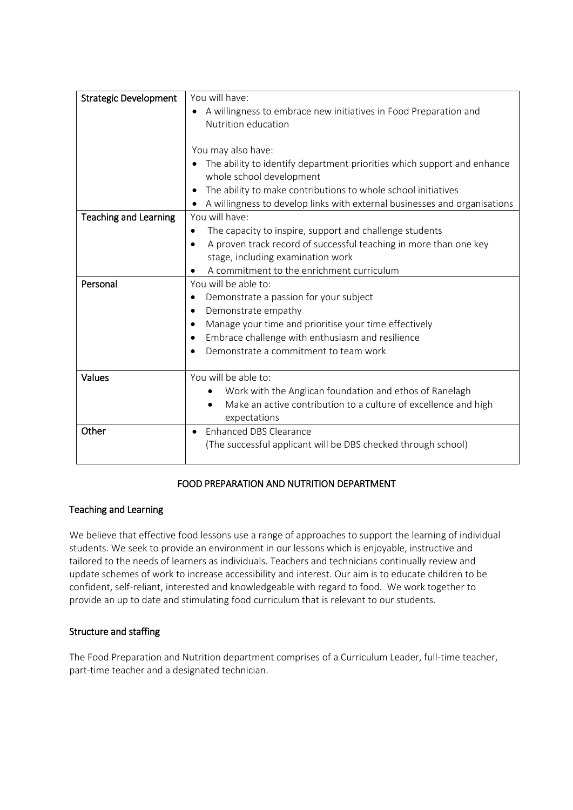| <b>Strategic Development</b> | You will have:                                                            |
|------------------------------|---------------------------------------------------------------------------|
|                              | A willingness to embrace new initiatives in Food Preparation and          |
|                              | Nutrition education                                                       |
|                              |                                                                           |
|                              | You may also have:                                                        |
|                              | The ability to identify department priorities which support and enhance   |
|                              | whole school development                                                  |
|                              | The ability to make contributions to whole school initiatives             |
|                              | A willingness to develop links with external businesses and organisations |
| <b>Teaching and Learning</b> | You will have:                                                            |
|                              | The capacity to inspire, support and challenge students                   |
|                              | A proven track record of successful teaching in more than one key         |
|                              | stage, including examination work                                         |
|                              | A commitment to the enrichment curriculum                                 |
| Personal                     | You will be able to:                                                      |
|                              | Demonstrate a passion for your subject<br>٠                               |
|                              | Demonstrate empathy                                                       |
|                              | Manage your time and prioritise your time effectively<br>٠                |
|                              | Embrace challenge with enthusiasm and resilience                          |
|                              | Demonstrate a commitment to team work                                     |
|                              |                                                                           |
| <b>Values</b>                | You will be able to:                                                      |
|                              | Work with the Anglican foundation and ethos of Ranelagh                   |
|                              | Make an active contribution to a culture of excellence and high           |
|                              | expectations                                                              |
| Other                        | <b>Enhanced DBS Clearance</b>                                             |
|                              | (The successful applicant will be DBS checked through school)             |
|                              |                                                                           |

# FOOD PREPARATION AND NUTRITION DEPARTMENT

# Teaching and Learning

We believe that effective food lessons use a range of approaches to support the learning of individual students. We seek to provide an environment in our lessons which is enjoyable, instructive and tailored to the needs of learners as individuals. Teachers and technicians continually review and update schemes of work to increase accessibility and interest. Our aim is to educate children to be confident, self-reliant, interested and knowledgeable with regard to food. We work together to provide an up to date and stimulating food curriculum that is relevant to our students.

# Structure and staffing

The Food Preparation and Nutrition department comprises of a Curriculum Leader, full-time teacher, part-time teacher and a designated technician.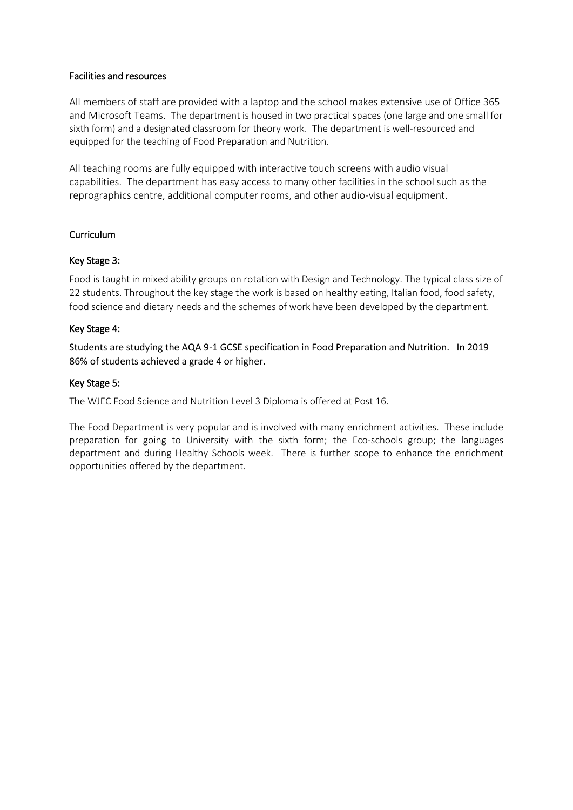#### Facilities and resources

All members of staff are provided with a laptop and the school makes extensive use of Office 365 and Microsoft Teams. The department is housed in two practical spaces (one large and one small for sixth form) and a designated classroom for theory work. The department is well-resourced and equipped for the teaching of Food Preparation and Nutrition.

All teaching rooms are fully equipped with interactive touch screens with audio visual capabilities. The department has easy access to many other facilities in the school such as the reprographics centre, additional computer rooms, and other audio-visual equipment.

# Curriculum

# Key Stage 3:

Food is taught in mixed ability groups on rotation with Design and Technology. The typical class size of 22 students. Throughout the key stage the work is based on healthy eating, Italian food, food safety, food science and dietary needs and the schemes of work have been developed by the department.

# Key Stage 4:

Students are studying the AQA 9-1 GCSE specification in Food Preparation and Nutrition. In 2019 86% of students achieved a grade 4 or higher.

# Key Stage 5:

The WJEC Food Science and Nutrition Level 3 Diploma is offered at Post 16.

The Food Department is very popular and is involved with many enrichment activities. These include preparation for going to University with the sixth form; the Eco-schools group; the languages department and during Healthy Schools week. There is further scope to enhance the enrichment opportunities offered by the department.